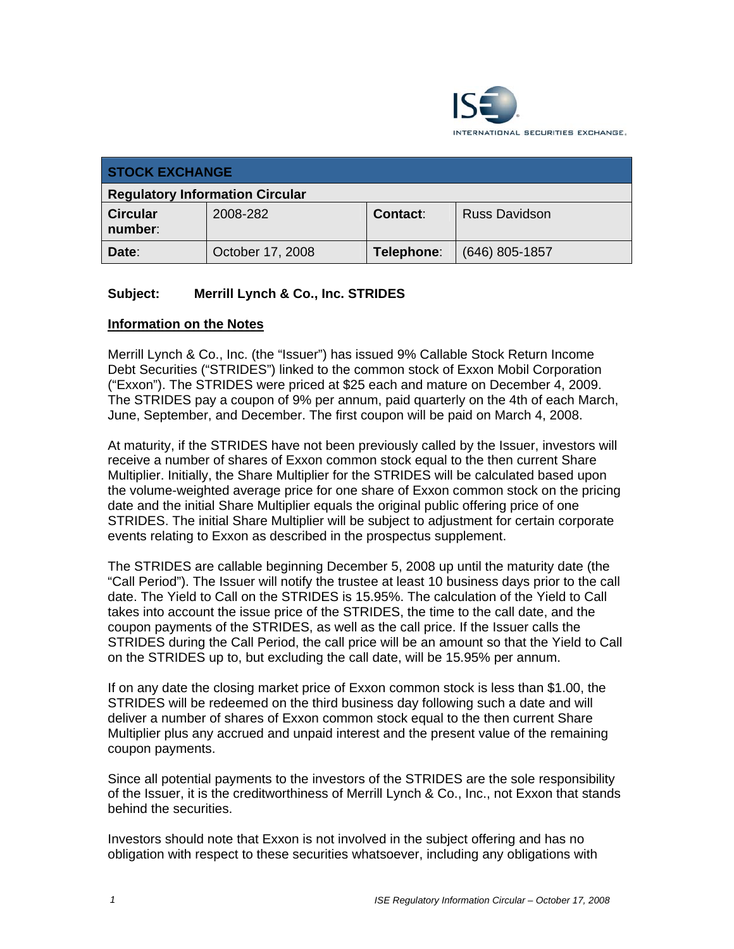

| <b>STOCK EXCHANGE</b>                  |                  |                 |                      |  |  |
|----------------------------------------|------------------|-----------------|----------------------|--|--|
| <b>Regulatory Information Circular</b> |                  |                 |                      |  |  |
| <b>Circular</b><br>number:             | 2008-282         | <b>Contact:</b> | <b>Russ Davidson</b> |  |  |
| Date:                                  | October 17, 2008 | Telephone:      | $(646)$ 805-1857     |  |  |

## **Subject: Merrill Lynch & Co., Inc. STRIDES**

## **Information on the Notes**

Merrill Lynch & Co., Inc. (the "Issuer") has issued 9% Callable Stock Return Income Debt Securities ("STRIDES") linked to the common stock of Exxon Mobil Corporation ("Exxon"). The STRIDES were priced at \$25 each and mature on December 4, 2009. The STRIDES pay a coupon of 9% per annum, paid quarterly on the 4th of each March, June, September, and December. The first coupon will be paid on March 4, 2008.

At maturity, if the STRIDES have not been previously called by the Issuer, investors will receive a number of shares of Exxon common stock equal to the then current Share Multiplier. Initially, the Share Multiplier for the STRIDES will be calculated based upon the volume-weighted average price for one share of Exxon common stock on the pricing date and the initial Share Multiplier equals the original public offering price of one STRIDES. The initial Share Multiplier will be subject to adjustment for certain corporate events relating to Exxon as described in the prospectus supplement.

The STRIDES are callable beginning December 5, 2008 up until the maturity date (the "Call Period"). The Issuer will notify the trustee at least 10 business days prior to the call date. The Yield to Call on the STRIDES is 15.95%. The calculation of the Yield to Call takes into account the issue price of the STRIDES, the time to the call date, and the coupon payments of the STRIDES, as well as the call price. If the Issuer calls the STRIDES during the Call Period, the call price will be an amount so that the Yield to Call on the STRIDES up to, but excluding the call date, will be 15.95% per annum.

If on any date the closing market price of Exxon common stock is less than \$1.00, the STRIDES will be redeemed on the third business day following such a date and will deliver a number of shares of Exxon common stock equal to the then current Share Multiplier plus any accrued and unpaid interest and the present value of the remaining coupon payments.

Since all potential payments to the investors of the STRIDES are the sole responsibility of the Issuer, it is the creditworthiness of Merrill Lynch & Co., Inc., not Exxon that stands behind the securities.

Investors should note that Exxon is not involved in the subject offering and has no obligation with respect to these securities whatsoever, including any obligations with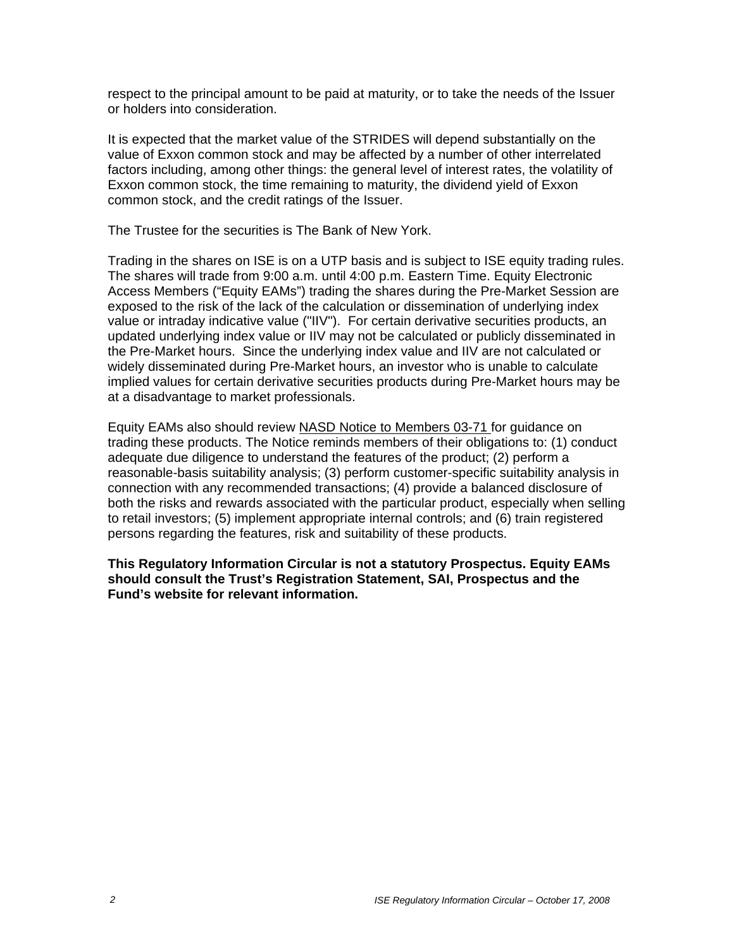respect to the principal amount to be paid at maturity, or to take the needs of the Issuer or holders into consideration.

It is expected that the market value of the STRIDES will depend substantially on the value of Exxon common stock and may be affected by a number of other interrelated factors including, among other things: the general level of interest rates, the volatility of Exxon common stock, the time remaining to maturity, the dividend yield of Exxon common stock, and the credit ratings of the Issuer.

The Trustee for the securities is The Bank of New York.

Trading in the shares on ISE is on a UTP basis and is subject to ISE equity trading rules. The shares will trade from 9:00 a.m. until 4:00 p.m. Eastern Time. Equity Electronic Access Members ("Equity EAMs") trading the shares during the Pre-Market Session are exposed to the risk of the lack of the calculation or dissemination of underlying index value or intraday indicative value ("IIV"). For certain derivative securities products, an updated underlying index value or IIV may not be calculated or publicly disseminated in the Pre-Market hours. Since the underlying index value and IIV are not calculated or widely disseminated during Pre-Market hours, an investor who is unable to calculate implied values for certain derivative securities products during Pre-Market hours may be at a disadvantage to market professionals.

Equity EAMs also should review NASD Notice to Members 03-71 for guidance on trading these products. The Notice reminds members of their obligations to: (1) conduct adequate due diligence to understand the features of the product; (2) perform a reasonable-basis suitability analysis; (3) perform customer-specific suitability analysis in connection with any recommended transactions; (4) provide a balanced disclosure of both the risks and rewards associated with the particular product, especially when selling to retail investors; (5) implement appropriate internal controls; and (6) train registered persons regarding the features, risk and suitability of these products.

**This Regulatory Information Circular is not a statutory Prospectus. Equity EAMs should consult the Trust's Registration Statement, SAI, Prospectus and the Fund's website for relevant information.**